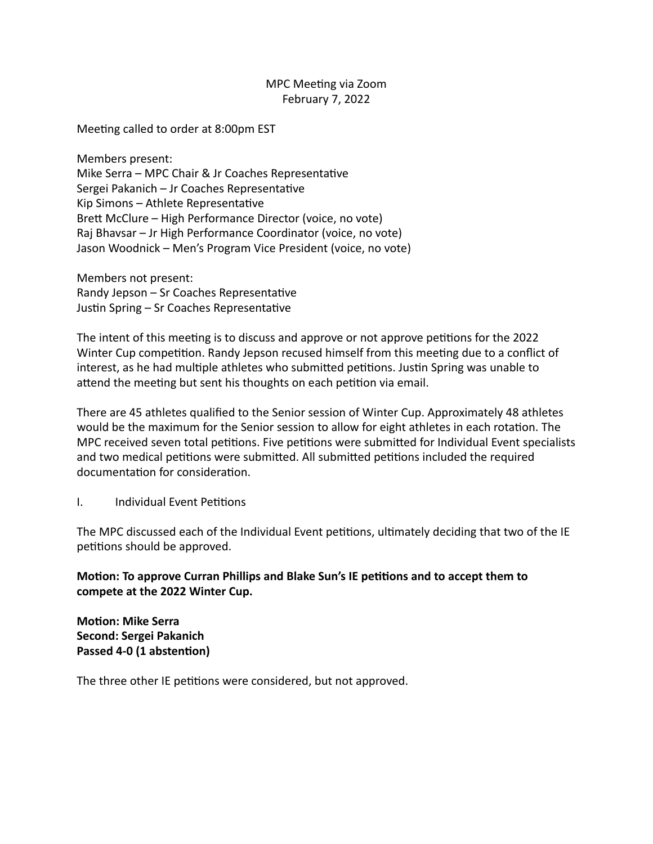## MPC Meeting via Zoom February 7, 2022

Meeting called to order at 8:00pm EST

Members present: Mike Serra – MPC Chair & Jr Coaches Representative Sergei Pakanich - Jr Coaches Representative Kip Simons  $-$  Athlete Representative Brett McClure – High Performance Director (voice, no vote) Raj Bhavsar – Jr High Performance Coordinator (voice, no vote) Jason Woodnick – Men's Program Vice President (voice, no vote)

Members not present: Randy Jepson  $-$  Sr Coaches Representative Justin Spring - Sr Coaches Representative

The intent of this meeting is to discuss and approve or not approve petitions for the 2022 Winter Cup competition. Randy Jepson recused himself from this meeting due to a conflict of interest, as he had multiple athletes who submitted petitions. Justin Spring was unable to attend the meeting but sent his thoughts on each petition via email.

There are 45 athletes qualified to the Senior session of Winter Cup. Approximately 48 athletes would be the maximum for the Senior session to allow for eight athletes in each rotation. The MPC received seven total petitions. Five petitions were submitted for Individual Event specialists and two medical petitions were submitted. All submitted petitions included the required documentation for consideration.

I. Individual Event Petitions

The MPC discussed each of the Individual Event petitions, ultimately deciding that two of the IE petitions should be approved.

**Motion: To approve Curran Phillips and Blake Sun's IE petitions and to accept them to** compete at the 2022 Winter Cup.

**Motion: Mike Serra Second: Sergei Pakanich** Passed 4-0 (1 abstention)

The three other IE petitions were considered, but not approved.